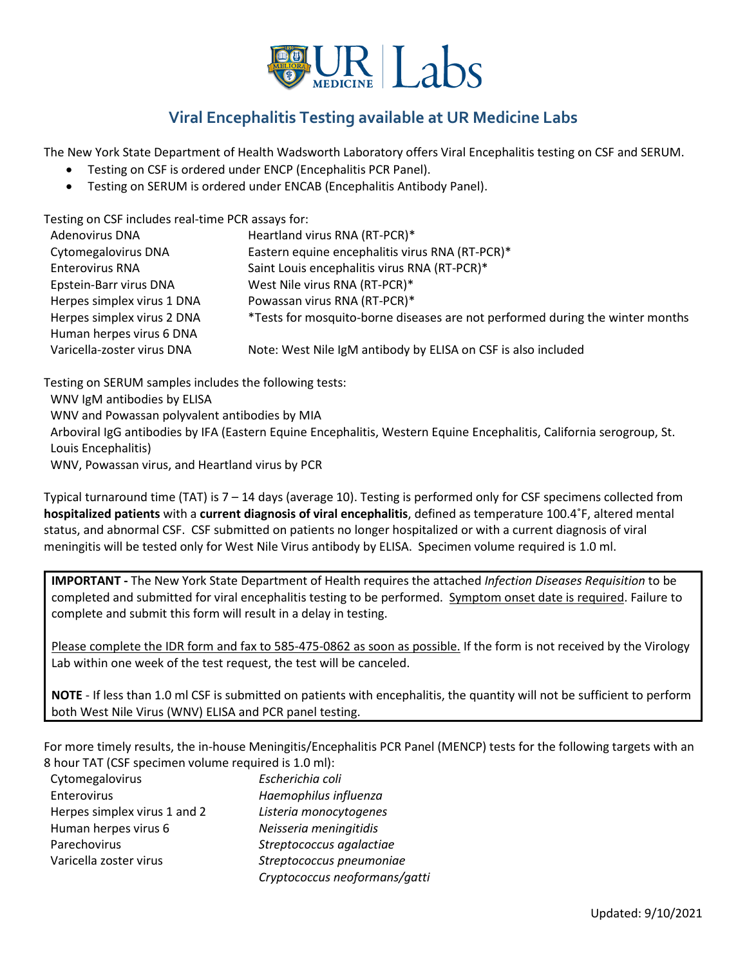

## **Viral Encephalitis Testing available at UR Medicine Labs**

The New York State Department of Health Wadsworth Laboratory offers Viral Encephalitis testing on CSF and SERUM.

- Testing on CSF is ordered under ENCP (Encephalitis PCR Panel).
- Testing on SERUM is ordered under ENCAB (Encephalitis Antibody Panel).

Testing on CSF includes real-time PCR assays for:

| <b>Adenovirus DNA</b>      | Heartland virus RNA (RT-PCR)*                                                 |
|----------------------------|-------------------------------------------------------------------------------|
| <b>Cytomegalovirus DNA</b> | Eastern equine encephalitis virus RNA (RT-PCR)*                               |
| <b>Enterovirus RNA</b>     | Saint Louis encephalitis virus RNA (RT-PCR)*                                  |
| Epstein-Barr virus DNA     | West Nile virus RNA (RT-PCR)*                                                 |
| Herpes simplex virus 1 DNA | Powassan virus RNA (RT-PCR)*                                                  |
| Herpes simplex virus 2 DNA | *Tests for mosquito-borne diseases are not performed during the winter months |
| Human herpes virus 6 DNA   |                                                                               |
| Varicella-zoster virus DNA | Note: West Nile IgM antibody by ELISA on CSF is also included                 |
|                            |                                                                               |

Testing on SERUM samples includes the following tests: WNV IgM antibodies by ELISA WNV and Powassan polyvalent antibodies by MIA Arboviral IgG antibodies by IFA (Eastern Equine Encephalitis, Western Equine Encephalitis, California serogroup, St. Louis Encephalitis) WNV, Powassan virus, and Heartland virus by PCR

Typical turnaround time (TAT) is 7 – 14 days (average 10). Testing is performed only for CSF specimens collected from **hospitalized patients** with a **current diagnosis of viral encephalitis**, defined as temperature 100.4˚F, altered mental status, and abnormal CSF. CSF submitted on patients no longer hospitalized or with a current diagnosis of viral meningitis will be tested only for West Nile Virus antibody by ELISA. Specimen volume required is 1.0 ml.

**IMPORTANT -** The New York State Department of Health requires the attached *Infection Diseases Requisition* to be completed and submitted for viral encephalitis testing to be performed. Symptom onset date is required. Failure to complete and submit this form will result in a delay in testing.

Please complete the IDR form and fax to 585-475-0862 as soon as possible. If the form is not received by the Virology Lab within one week of the test request, the test will be canceled.

**NOTE** - If less than 1.0 ml CSF is submitted on patients with encephalitis, the quantity will not be sufficient to perform both West Nile Virus (WNV) ELISA and PCR panel testing.

For more timely results, the in-house Meningitis/Encephalitis PCR Panel (MENCP) tests for the following targets with an 8 hour TAT (CSF specimen volume required is 1.0 ml):

| Cytomegalovirus              | Escherichia coli              |
|------------------------------|-------------------------------|
| Enterovirus                  | Haemophilus influenza         |
| Herpes simplex virus 1 and 2 | Listeria monocytogenes        |
| Human herpes virus 6         | Neisseria meningitidis        |
| Parechovirus                 | Streptococcus agalactiae      |
| Varicella zoster virus       | Streptococcus pneumoniae      |
|                              | Cryptococcus neoformans/gatti |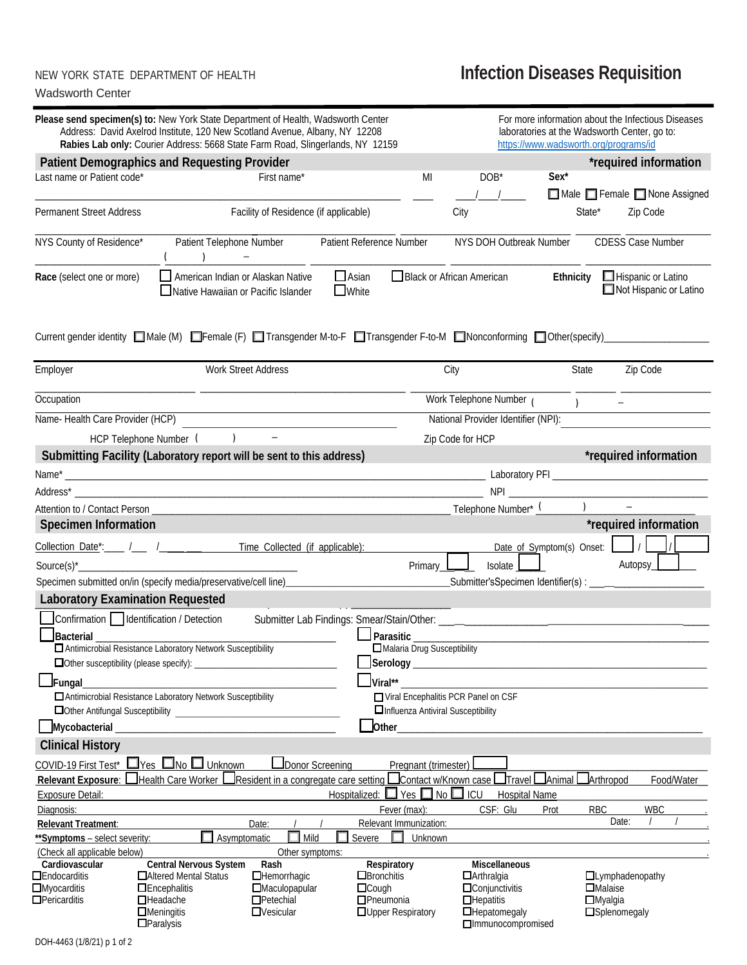## Wadsworth Center

## NEW YORK STATE DEPARTMENT OF HEALTH **Infection Diseases Requisition**

| Please send specimen(s) to: New York State Department of Health, Wadsworth Center                                          | Address: David Axelrod Institute, 120 New Scotland Avenue, Albany, NY 12208<br>Rabies Lab only: Courier Address: 5668 State Farm Road, Slingerlands, NY 12159 |                                          |                                  |                                    |                                                                     | laboratories at the Wadsworth Center, go to:<br>https://www.wadsworth.org/programs/id |                                     | For more information about the Infectious Diseases |
|----------------------------------------------------------------------------------------------------------------------------|---------------------------------------------------------------------------------------------------------------------------------------------------------------|------------------------------------------|----------------------------------|------------------------------------|---------------------------------------------------------------------|---------------------------------------------------------------------------------------|-------------------------------------|----------------------------------------------------|
| <b>Patient Demographics and Requesting Provider</b>                                                                        |                                                                                                                                                               |                                          |                                  |                                    |                                                                     |                                                                                       |                                     | *required information                              |
| Last name or Patient code*                                                                                                 |                                                                                                                                                               | First name*                              |                                  | MI                                 | DOB*                                                                | Sex <sup>*</sup>                                                                      |                                     |                                                    |
|                                                                                                                            |                                                                                                                                                               |                                          |                                  |                                    |                                                                     |                                                                                       |                                     | Male Female None Assigned                          |
|                                                                                                                            |                                                                                                                                                               |                                          |                                  |                                    |                                                                     |                                                                                       |                                     |                                                    |
| <b>Permanent Street Address</b>                                                                                            |                                                                                                                                                               | Facility of Residence (if applicable)    |                                  |                                    | City                                                                | State*                                                                                |                                     | Zip Code                                           |
|                                                                                                                            |                                                                                                                                                               |                                          |                                  |                                    |                                                                     |                                                                                       |                                     |                                                    |
| NYS County of Residence*                                                                                                   | Patient Telephone Number                                                                                                                                      |                                          | Patient Reference Number         |                                    | NYS DOH Outbreak Number                                             |                                                                                       | <b>CDESS Case Number</b>            |                                                    |
|                                                                                                                            |                                                                                                                                                               |                                          |                                  |                                    |                                                                     |                                                                                       |                                     |                                                    |
| Race (select one or more)                                                                                                  | American Indian or Alaskan Native<br>□ Native Hawaiian or Pacific Islander                                                                                    |                                          | $\Box$ Asian<br><b>U</b> White   |                                    | □ Black or African American                                         |                                                                                       | Ethnicity $\Box$ Hispanic or Latino | Not Hispanic or Latino                             |
| Current gender identity ■ Male (M) ■ Female (F) ■ Transgender M-to-F ■ Transgender F-to-M ■ Nonconforming ■ Other(specify) |                                                                                                                                                               |                                          |                                  |                                    |                                                                     |                                                                                       |                                     |                                                    |
| Employer                                                                                                                   | <b>Work Street Address</b>                                                                                                                                    |                                          |                                  |                                    | City                                                                | State                                                                                 |                                     | Zip Code                                           |
| Occupation                                                                                                                 |                                                                                                                                                               |                                          |                                  |                                    | Work Telephone Number (                                             | $\overline{\phantom{a}}$                                                              | $\sim$                              |                                                    |
| Name-Health Care Provider (HCP)                                                                                            |                                                                                                                                                               |                                          |                                  |                                    | National Provider Identifier (NPI):                                 |                                                                                       |                                     |                                                    |
|                                                                                                                            |                                                                                                                                                               |                                          |                                  |                                    |                                                                     |                                                                                       |                                     |                                                    |
| HCP Telephone Number (                                                                                                     | $\rightarrow$                                                                                                                                                 |                                          |                                  |                                    | Zip Code for HCP                                                    |                                                                                       |                                     |                                                    |
| Submitting Facility (Laboratory report will be sent to this address)                                                       |                                                                                                                                                               |                                          |                                  |                                    |                                                                     |                                                                                       |                                     | *required information                              |
| Name*                                                                                                                      |                                                                                                                                                               |                                          |                                  |                                    |                                                                     |                                                                                       |                                     |                                                    |
|                                                                                                                            |                                                                                                                                                               |                                          |                                  |                                    |                                                                     |                                                                                       |                                     |                                                    |
|                                                                                                                            |                                                                                                                                                               |                                          |                                  |                                    |                                                                     | $\overline{1}$                                                                        | $\equiv$                            |                                                    |
|                                                                                                                            |                                                                                                                                                               |                                          |                                  |                                    |                                                                     |                                                                                       |                                     |                                                    |
| <b>Specimen Information</b>                                                                                                |                                                                                                                                                               |                                          |                                  |                                    |                                                                     |                                                                                       |                                     | *required information                              |
| Collection Date <sup>*</sup> : / / / / / / / / / Time Collected (if applicable):                                           |                                                                                                                                                               |                                          |                                  |                                    |                                                                     | Date of Symptom(s) Onset:   /                                                         |                                     |                                                    |
|                                                                                                                            |                                                                                                                                                               |                                          |                                  |                                    | Isolate                                                             |                                                                                       | Autopsy_                            |                                                    |
|                                                                                                                            |                                                                                                                                                               |                                          |                                  | Primary_L                          |                                                                     |                                                                                       |                                     |                                                    |
| Specimen submitted on/in (specify media/preservative/cell line) ________________                                           |                                                                                                                                                               |                                          |                                  |                                    | _____________Submitter'sSpecimen Identifier(s) : __________________ |                                                                                       |                                     |                                                    |
| <b>Laboratory Examination Requested</b>                                                                                    |                                                                                                                                                               |                                          |                                  |                                    |                                                                     |                                                                                       |                                     |                                                    |
| Confirmation   Identification / Detection                                                                                  |                                                                                                                                                               |                                          |                                  |                                    |                                                                     |                                                                                       |                                     |                                                    |
| Bacterial                                                                                                                  |                                                                                                                                                               |                                          |                                  | Parasitic _____                    |                                                                     |                                                                                       |                                     |                                                    |
|                                                                                                                            | Antimicrobial Resistance Laboratory Network Susceptibility                                                                                                    |                                          |                                  |                                    | Malaria Drug Susceptibility                                         |                                                                                       |                                     |                                                    |
|                                                                                                                            |                                                                                                                                                               |                                          |                                  |                                    |                                                                     |                                                                                       |                                     |                                                    |
|                                                                                                                            |                                                                                                                                                               |                                          | Viral**                          |                                    |                                                                     |                                                                                       |                                     |                                                    |
| $\Box$ Fungal                                                                                                              | Antimicrobial Resistance Laboratory Network Susceptibility                                                                                                    |                                          |                                  |                                    |                                                                     |                                                                                       |                                     |                                                    |
|                                                                                                                            |                                                                                                                                                               |                                          |                                  | Influenza Antiviral Susceptibility | Viral Encephalitis PCR Panel on CSF                                 |                                                                                       |                                     |                                                    |
|                                                                                                                            |                                                                                                                                                               |                                          |                                  |                                    |                                                                     |                                                                                       |                                     |                                                    |
| Mycobacterial                                                                                                              |                                                                                                                                                               |                                          | Other_                           |                                    |                                                                     |                                                                                       |                                     |                                                    |
| <b>Clinical History</b>                                                                                                    |                                                                                                                                                               |                                          |                                  |                                    |                                                                     |                                                                                       |                                     |                                                    |
| COVID-19 First Test* $\Box$ Yes $\Box$ No $\Box$ Unknown                                                                   |                                                                                                                                                               | Donor Screening                          |                                  | Pregnant (trimester)               |                                                                     |                                                                                       |                                     |                                                    |
| Relevant Exposure: Health Care Worker LResident in a congregate care setting Contact w/Known case Travel Chanimal          |                                                                                                                                                               |                                          |                                  |                                    |                                                                     |                                                                                       | <b>Arthropod</b>                    | Food/Water_                                        |
| <b>Exposure Detail:</b>                                                                                                    |                                                                                                                                                               |                                          |                                  | Hospitalized: ■ Yes ■ No ■ ICU     | Hospital Name                                                       |                                                                                       |                                     |                                                    |
| Diagnosis:                                                                                                                 |                                                                                                                                                               |                                          |                                  | Fever (max):                       | CSF: Glu                                                            | Prot                                                                                  | RBC                                 | <b>WBC</b>                                         |
| <b>Relevant Treatment:</b>                                                                                                 |                                                                                                                                                               | Date:                                    |                                  | Relevant Immunization:             |                                                                     |                                                                                       | Date:                               |                                                    |
| **Symptoms - select severity:                                                                                              | Asymptomatic                                                                                                                                                  | $\Box$ Mild                              | Severe                           | П<br>Unknown                       |                                                                     |                                                                                       |                                     |                                                    |
| (Check all applicable below)                                                                                               |                                                                                                                                                               | Other symptoms:                          |                                  |                                    |                                                                     |                                                                                       |                                     |                                                    |
| Cardiovascular                                                                                                             | Central Nervous System                                                                                                                                        | Rash                                     |                                  | Respiratory                        | <b>Miscellaneous</b>                                                |                                                                                       |                                     |                                                    |
| $\Box$ Endocarditis                                                                                                        | □ Altered Mental Status                                                                                                                                       | $\Box$ Hemorrhagic                       | $\Box$ Bronchitis                |                                    | $\Box$ Arthralgia                                                   |                                                                                       | $\Box$ Lymphadenopathy              |                                                    |
| $\Box$ Myocarditis<br>$\Box$ Pericarditis                                                                                  | $\Box$ Encephalitis<br>$\Box$ Headache                                                                                                                        | <b>Maculopapular</b><br>$\Box$ Petechial | $\Box$ Cough<br>$\Box$ Pneumonia |                                    | $\Box$ Conjunctivitis<br>$\Box$ Hepatitis                           |                                                                                       | $\Box$ Malaise<br>$\Box$ Myalgia    |                                                    |
|                                                                                                                            | $\Box$ Meningitis                                                                                                                                             | $\Box$ Vesicular                         |                                  | <b>OUpper Respiratory</b>          | $\Box$ Hepatomegaly                                                 |                                                                                       | <b>Splenomegaly</b>                 |                                                    |
|                                                                                                                            | $\Box$ Paralysis                                                                                                                                              |                                          |                                  |                                    | □Immunocompromised                                                  |                                                                                       |                                     |                                                    |